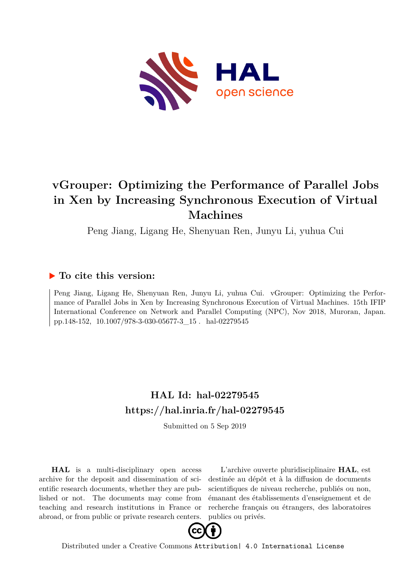

# **vGrouper: Optimizing the Performance of Parallel Jobs in Xen by Increasing Synchronous Execution of Virtual Machines**

Peng Jiang, Ligang He, Shenyuan Ren, Junyu Li, yuhua Cui

# **To cite this version:**

Peng Jiang, Ligang He, Shenyuan Ren, Junyu Li, yuhua Cui. vGrouper: Optimizing the Performance of Parallel Jobs in Xen by Increasing Synchronous Execution of Virtual Machines. 15th IFIP International Conference on Network and Parallel Computing (NPC), Nov 2018, Muroran, Japan. pp.148-152, 10.1007/978-3-030-05677-3\_15 . hal-02279545

# **HAL Id: hal-02279545 <https://hal.inria.fr/hal-02279545>**

Submitted on 5 Sep 2019

**HAL** is a multi-disciplinary open access archive for the deposit and dissemination of scientific research documents, whether they are published or not. The documents may come from teaching and research institutions in France or abroad, or from public or private research centers.

L'archive ouverte pluridisciplinaire **HAL**, est destinée au dépôt et à la diffusion de documents scientifiques de niveau recherche, publiés ou non, émanant des établissements d'enseignement et de recherche français ou étrangers, des laboratoires publics ou privés.



Distributed under a Creative Commons [Attribution| 4.0 International License](http://creativecommons.org/licenses/by/4.0/)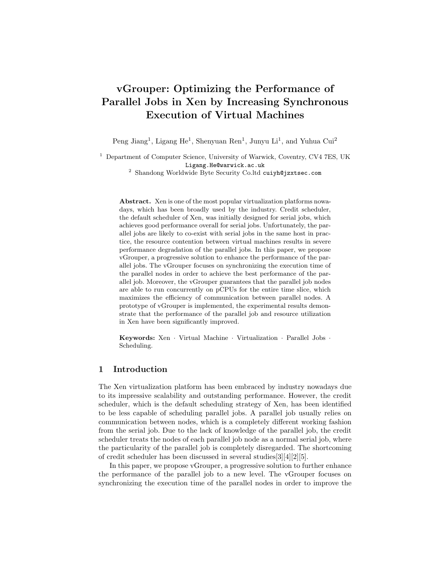# vGrouper: Optimizing the Performance of Parallel Jobs in Xen by Increasing Synchronous Execution of Virtual Machines

Peng Jiang<sup>1</sup>, Ligang He<sup>1</sup>, Shenyuan Ren<sup>1</sup>, Junyu Li<sup>1</sup>, and Yuhua Cui<sup>2</sup>

<sup>1</sup> Department of Computer Science, University of Warwick, Coventry, CV4 7ES, UK Ligang.He@warwick.ac.uk

<sup>2</sup> Shandong Worldwide Byte Security Co.ltd cuiyh@jzxtsec.com

Abstract. Xen is one of the most popular virtualization platforms nowadays, which has been broadly used by the industry. Credit scheduler, the default scheduler of Xen, was initially designed for serial jobs, which achieves good performance overall for serial jobs. Unfortunately, the parallel jobs are likely to co-exist with serial jobs in the same host in practice, the resource contention between virtual machines results in severe performance degradation of the parallel jobs. In this paper, we propose vGrouper, a progressive solution to enhance the performance of the parallel jobs. The vGrouper focuses on synchronizing the execution time of the parallel nodes in order to achieve the best performance of the parallel job. Moreover, the vGrouper guarantees that the parallel job nodes are able to run concurrently on pCPUs for the entire time slice, which maximizes the efficiency of communication between parallel nodes. A prototype of vGrouper is implemented, the experimental results demonstrate that the performance of the parallel job and resource utilization in Xen have been significantly improved.

Keywords: Xen · Virtual Machine · Virtualization · Parallel Jobs · Scheduling.

# 1 Introduction

The Xen virtualization platform has been embraced by industry nowadays due to its impressive scalability and outstanding performance. However, the credit scheduler, which is the default scheduling strategy of Xen, has been identified to be less capable of scheduling parallel jobs. A parallel job usually relies on communication between nodes, which is a completely different working fashion from the serial job. Due to the lack of knowledge of the parallel job, the credit scheduler treats the nodes of each parallel job node as a normal serial job, where the particularity of the parallel job is completely disregarded. The shortcoming of credit scheduler has been discussed in several studies[3][4][2][5].

In this paper, we propose vGrouper, a progressive solution to further enhance the performance of the parallel job to a new level. The vGrouper focuses on synchronizing the execution time of the parallel nodes in order to improve the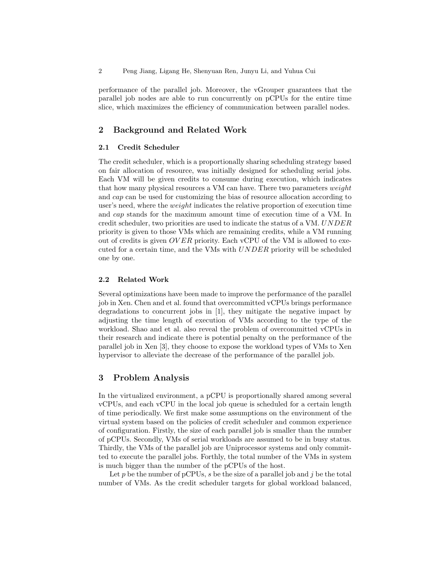2 Peng Jiang, Ligang He, Shenyuan Ren, Junyu Li, and Yuhua Cui

performance of the parallel job. Moreover, the vGrouper guarantees that the parallel job nodes are able to run concurrently on pCPUs for the entire time slice, which maximizes the efficiency of communication between parallel nodes.

# 2 Background and Related Work

#### 2.1 Credit Scheduler

The credit scheduler, which is a proportionally sharing scheduling strategy based on fair allocation of resource, was initially designed for scheduling serial jobs. Each VM will be given credits to consume during execution, which indicates that how many physical resources a VM can have. There two parameters weight and cap can be used for customizing the bias of resource allocation according to user's need, where the weight indicates the relative proportion of execution time and cap stands for the maximum amount time of execution time of a VM. In credit scheduler, two priorities are used to indicate the status of a VM. UNDER priority is given to those VMs which are remaining credits, while a VM running out of credits is given  $OVER$  priority. Each vCPU of the VM is allowed to executed for a certain time, and the VMs with UNDER priority will be scheduled one by one.

#### 2.2 Related Work

Several optimizations have been made to improve the performance of the parallel job in Xen. Chen and et al. found that overcommitted vCPUs brings performance degradations to concurrent jobs in [1], they mitigate the negative impact by adjusting the time length of execution of VMs according to the type of the workload. Shao and et al. also reveal the problem of overcommitted vCPUs in their research and indicate there is potential penalty on the performance of the parallel job in Xen [3], they choose to expose the workload types of VMs to Xen hypervisor to alleviate the decrease of the performance of the parallel job.

# 3 Problem Analysis

In the virtualized environment, a pCPU is proportionally shared among several vCPUs, and each vCPU in the local job queue is scheduled for a certain length of time periodically. We first make some assumptions on the environment of the virtual system based on the policies of credit scheduler and common experience of configuration. Firstly, the size of each parallel job is smaller than the number of pCPUs. Secondly, VMs of serial workloads are assumed to be in busy status. Thirdly, the VMs of the parallel job are Uniprocessor systems and only committed to execute the parallel jobs. Forthly, the total number of the VMs in system is much bigger than the number of the pCPUs of the host.

Let p be the number of pCPUs, s be the size of a parallel job and j be the total number of VMs. As the credit scheduler targets for global workload balanced,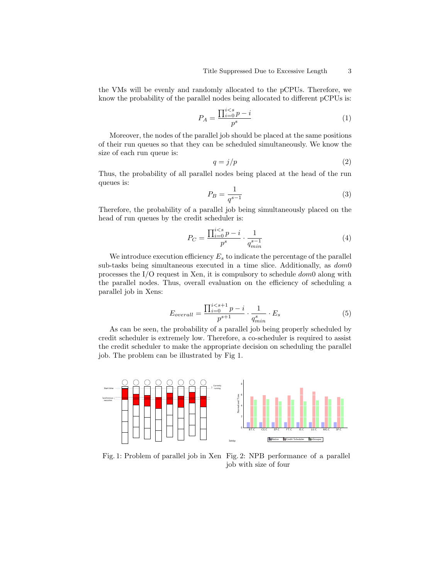the VMs will be evenly and randomly allocated to the pCPUs. Therefore, we know the probability of the parallel nodes being allocated to different pCPUs is:

$$
P_A = \frac{\prod_{i=0}^{i
$$

Moreover, the nodes of the parallel job should be placed at the same positions of their run queues so that they can be scheduled simultaneously. We know the size of each run queue is:

$$
q = j/p \tag{2}
$$

Thus, the probability of all parallel nodes being placed at the head of the run queues is:

$$
P_B = \frac{1}{q^{s-1}}\tag{3}
$$

Therefore, the probability of a parallel job being simultaneously placed on the head of run queues by the credit scheduler is:

$$
P_C = \frac{\prod_{i=0}^{i (4)
$$

We introduce execution efficiency  $E_s$  to indicate the percentage of the parallel sub-tasks being simultaneous executed in a time slice. Additionally, as  $dom0$ processes the I/O request in Xen, it is compulsory to schedule dom0 along with the parallel nodes. Thus, overall evaluation on the efficiency of scheduling a parallel job in Xens:

$$
E_{overall} = \frac{\prod_{i=0}^{i \le s+1} p - i}{p^{s+1}} \cdot \frac{1}{q_{min}^s} \cdot E_s \tag{5}
$$

As can be seen, the probability of a parallel job being properly scheduled by credit scheduler is extremely low. Therefore, a co-scheduler is required to assist the credit scheduler to make the appropriate decision on scheduling the parallel job. The problem can be illustrated by Fig 1.



Fig. 1: Problem of parallel job in Xen Fig. 2: NPB performance of a parallel job with size of four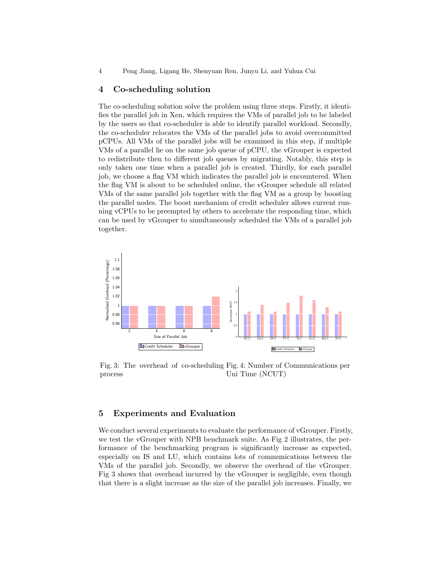4 Peng Jiang, Ligang He, Shenyuan Ren, Junyu Li, and Yuhua Cui

### 4 Co-scheduling solution

The co-scheduling solution solve the problem using three steps. Firstly, it identifies the parallel job in Xen, which requires the VMs of parallel job to be labeled by the users so that co-scheduler is able to identify parallel workload. Secondly, the co-scheduler relocates the VMs of the parallel jobs to avoid overcommitted pCPUs. All VMs of the parallel jobs will be examined in this step, if multiple VMs of a parallel lie on the same job queue of pCPU, the vGrouper is expected to redistribute then to different job queues by migrating. Notably, this step is only taken one time when a parallel job is created. Thirdly, for each parallel job, we choose a flag VM which indicates the parallel job is encountered. When the flag VM is about to be scheduled online, the vGrouper schedule all related VMs of the same parallel job together with the flag VM as a group by boosting the parallel nodes. The boost mechanism of credit scheduler allows current running vCPUs to be preempted by others to accelerate the responding time, which can be used by vGrouper to simultaneously scheduled the VMs of a parallel job together.



Fig. 3: The overhead of co-scheduling Fig. 4: Number of Communications per process Uni Time (NCUT)

### 5 Experiments and Evaluation

We conduct several experiments to evaluate the performance of vGrouper. Firstly, we test the vGrouper with NPB benchmark suite. As Fig 2 illustrates, the performance of the benchmarking program is significantly increase as expected, especially on IS and LU, which contains lots of communications between the VMs of the parallel job. Secondly, we observe the overhead of the vGrouper. Fig 3 shows that overhead incurred by the vGrouper is negligible, even though that there is a slight increase as the size of the parallel job increases. Finally, we